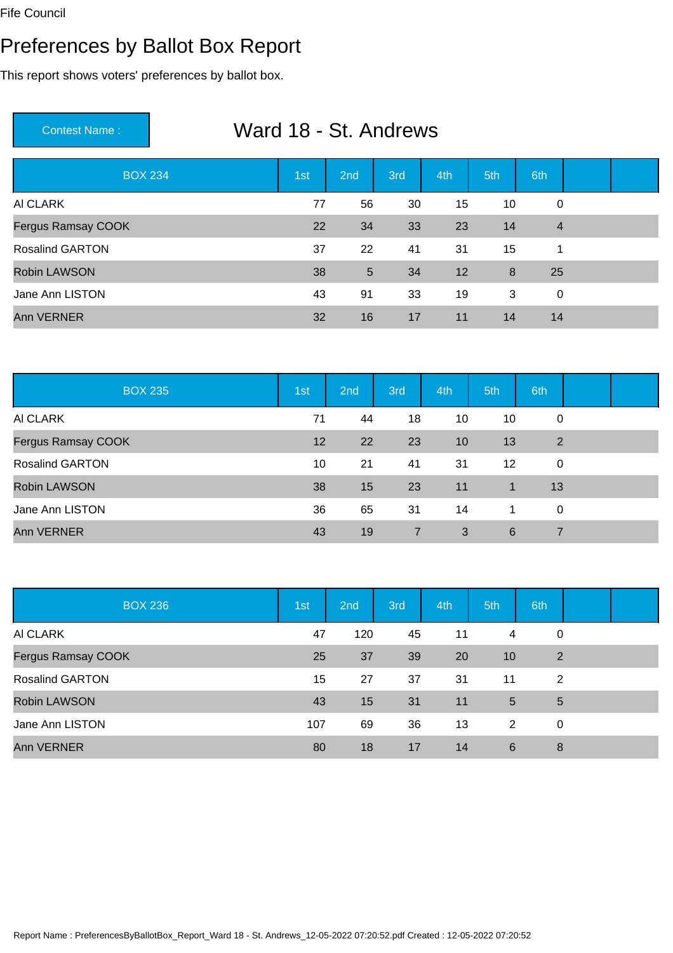# Preferences by Ballot Box Report

| Ward 18 - St. Andrews<br><b>Contest Name:</b> |     |                 |     |     |     |                |  |  |  |
|-----------------------------------------------|-----|-----------------|-----|-----|-----|----------------|--|--|--|
| <b>BOX 234</b>                                | 1st | 2 <sub>nd</sub> | 3rd | 4th | 5th | 6th            |  |  |  |
| AI CLARK                                      | 77  | 56              | 30  | 15  | 10  | 0              |  |  |  |
| <b>Fergus Ramsay COOK</b>                     | 22  | 34              | 33  | 23  | 14  | $\overline{4}$ |  |  |  |
| <b>Rosalind GARTON</b>                        | 37  | 22              | 41  | 31  | 15  | 1              |  |  |  |
| <b>Robin LAWSON</b>                           | 38  | 5               | 34  | 12  | 8   | 25             |  |  |  |
| Jane Ann LISTON                               | 43  | 91              | 33  | 19  | 3   | 0              |  |  |  |
| <b>Ann VERNER</b>                             | 32  | 16              | 17  | 11  | 14  | 14             |  |  |  |

| <b>BOX 235</b>         | 1st | 2nd | 3rd            | 4th | 5th         | 6th |  |
|------------------------|-----|-----|----------------|-----|-------------|-----|--|
| AI CLARK               | 71  | 44  | 18             | 10  | 10          | 0   |  |
| Fergus Ramsay COOK     | 12  | 22  | 23             | 10  | 13          | 2   |  |
| <b>Rosalind GARTON</b> | 10  | 21  | 41             | 31  | 12          | 0   |  |
| <b>Robin LAWSON</b>    | 38  | 15  | 23             | 11  | $\mathbf 1$ | 13  |  |
| Jane Ann LISTON        | 36  | 65  | 31             | 14  | 1           | 0   |  |
| <b>Ann VERNER</b>      | 43  | 19  | $\overline{7}$ | 3   | 6           |     |  |

| <b>BOX 236</b>            | 1st | 2nd | 3rd | 4th | 5th         | 6th |  |
|---------------------------|-----|-----|-----|-----|-------------|-----|--|
| AI CLARK                  | 47  | 120 | 45  | 11  | 4           | 0   |  |
| <b>Fergus Ramsay COOK</b> | 25  | 37  | 39  | 20  | 10          | 2   |  |
| <b>Rosalind GARTON</b>    | 15  | 27  | 37  | 31  | 11          | 2   |  |
| <b>Robin LAWSON</b>       | 43  | 15  | 31  | 11  | $5^{\circ}$ | 5   |  |
| Jane Ann LISTON           | 107 | 69  | 36  | 13  | 2           | 0   |  |
| <b>Ann VERNER</b>         | 80  | 18  | 17  | 14  | 6           | 8   |  |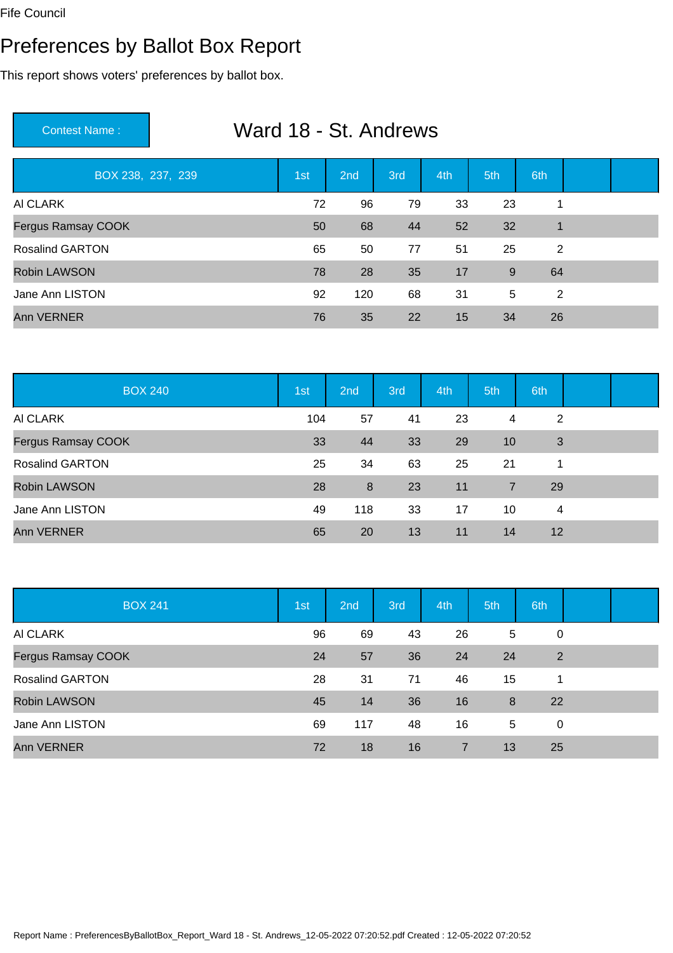# Preferences by Ballot Box Report

| Ward 18 - St. Andrews<br><b>Contest Name:</b> |     |     |     |     |     |              |  |  |  |
|-----------------------------------------------|-----|-----|-----|-----|-----|--------------|--|--|--|
| BOX 238, 237, 239                             | 1st | 2nd | 3rd | 4th | 5th | 6th          |  |  |  |
| AI CLARK                                      | 72  | 96  | 79  | 33  | 23  | 1            |  |  |  |
| <b>Fergus Ramsay COOK</b>                     | 50  | 68  | 44  | 52  | 32  | $\mathbf{1}$ |  |  |  |
| <b>Rosalind GARTON</b>                        | 65  | 50  | 77  | 51  | 25  | 2            |  |  |  |
| <b>Robin LAWSON</b>                           | 78  | 28  | 35  | 17  | 9   | 64           |  |  |  |
| Jane Ann LISTON                               | 92  | 120 | 68  | 31  | 5   | 2            |  |  |  |
| <b>Ann VERNER</b>                             | 76  | 35  | 22  | 15  | 34  | 26           |  |  |  |

| <b>BOX 240</b>         | 1st | 2nd | 3rd | 4th | 5th | 6th |  |
|------------------------|-----|-----|-----|-----|-----|-----|--|
| AI CLARK               | 104 | 57  | 41  | 23  | 4   | 2   |  |
| Fergus Ramsay COOK     | 33  | 44  | 33  | 29  | 10  | 3   |  |
| <b>Rosalind GARTON</b> | 25  | 34  | 63  | 25  | 21  | 1   |  |
| <b>Robin LAWSON</b>    | 28  | 8   | 23  | 11  | 7   | 29  |  |
| Jane Ann LISTON        | 49  | 118 | 33  | 17  | 10  | 4   |  |
| <b>Ann VERNER</b>      | 65  | 20  | 13  | 11  | 14  | 12  |  |

| <b>BOX 241</b>            | 1st | 2nd | 3rd | 4th | 5th             | 6th |  |
|---------------------------|-----|-----|-----|-----|-----------------|-----|--|
| AI CLARK                  | 96  | 69  | 43  | 26  | $5\phantom{.0}$ | 0   |  |
| <b>Fergus Ramsay COOK</b> | 24  | 57  | 36  | 24  | 24              | 2   |  |
| <b>Rosalind GARTON</b>    | 28  | 31  | 71  | 46  | 15              | 1   |  |
| <b>Robin LAWSON</b>       | 45  | 14  | 36  | 16  | 8               | 22  |  |
| Jane Ann LISTON           | 69  | 117 | 48  | 16  | 5               | 0   |  |
| <b>Ann VERNER</b>         | 72  | 18  | 16  | 7   | 13              | 25  |  |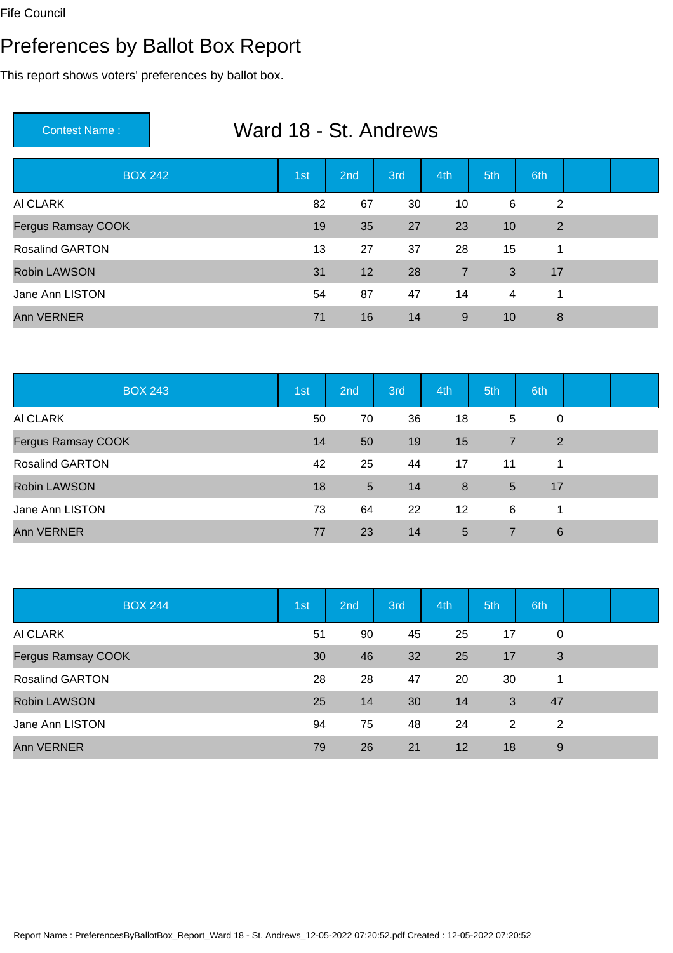# Preferences by Ballot Box Report

| Ward 18 - St. Andrews<br><b>Contest Name:</b> |     |                 |     |                |                 |                |  |  |  |
|-----------------------------------------------|-----|-----------------|-----|----------------|-----------------|----------------|--|--|--|
| <b>BOX 242</b>                                | 1st | 2 <sub>nd</sub> | 3rd | 4th            | 5th             | 6th            |  |  |  |
| AI CLARK                                      | 82  | 67              | 30  | 10             | 6               | $\overline{2}$ |  |  |  |
| <b>Fergus Ramsay COOK</b>                     | 19  | 35              | 27  | 23             | 10              | 2              |  |  |  |
| <b>Rosalind GARTON</b>                        | 13  | 27              | 37  | 28             | 15              | 1              |  |  |  |
| <b>Robin LAWSON</b>                           | 31  | 12              | 28  | $\overline{7}$ | 3               | 17             |  |  |  |
| Jane Ann LISTON                               | 54  | 87              | 47  | 14             | $\overline{4}$  | 1              |  |  |  |
| <b>Ann VERNER</b>                             | 71  | 16              | 14  | 9              | 10 <sup>°</sup> | 8              |  |  |  |

| <b>BOX 243</b>         | 1st | 2nd | 3rd | 4th               | 5th             | 6th |  |
|------------------------|-----|-----|-----|-------------------|-----------------|-----|--|
| AI CLARK               | 50  | 70  | 36  | 18                | 5               | 0   |  |
| Fergus Ramsay COOK     | 14  | 50  | 19  | 15                | $\overline{7}$  | 2   |  |
| <b>Rosalind GARTON</b> | 42  | 25  | 44  | 17                | 11              | 1   |  |
| <b>Robin LAWSON</b>    | 18  | 5   | 14  | 8                 | $5\overline{)}$ | 17  |  |
| Jane Ann LISTON        | 73  | 64  | 22  | $12 \overline{ }$ | 6               | 1   |  |
| <b>Ann VERNER</b>      | 77  | 23  | 14  | 5                 | 7               | 6   |  |

| <b>BOX 244</b>            | 1st | 2nd | 3rd | 4th | 5th | 6th |  |
|---------------------------|-----|-----|-----|-----|-----|-----|--|
| AI CLARK                  | 51  | 90  | 45  | 25  | 17  | 0   |  |
| <b>Fergus Ramsay COOK</b> | 30  | 46  | 32  | 25  | 17  | 3   |  |
| <b>Rosalind GARTON</b>    | 28  | 28  | 47  | 20  | 30  | 1   |  |
| <b>Robin LAWSON</b>       | 25  | 14  | 30  | 14  | 3   | 47  |  |
| Jane Ann LISTON           | 94  | 75  | 48  | 24  | 2   | 2   |  |
| <b>Ann VERNER</b>         | 79  | 26  | 21  | 12  | 18  | 9   |  |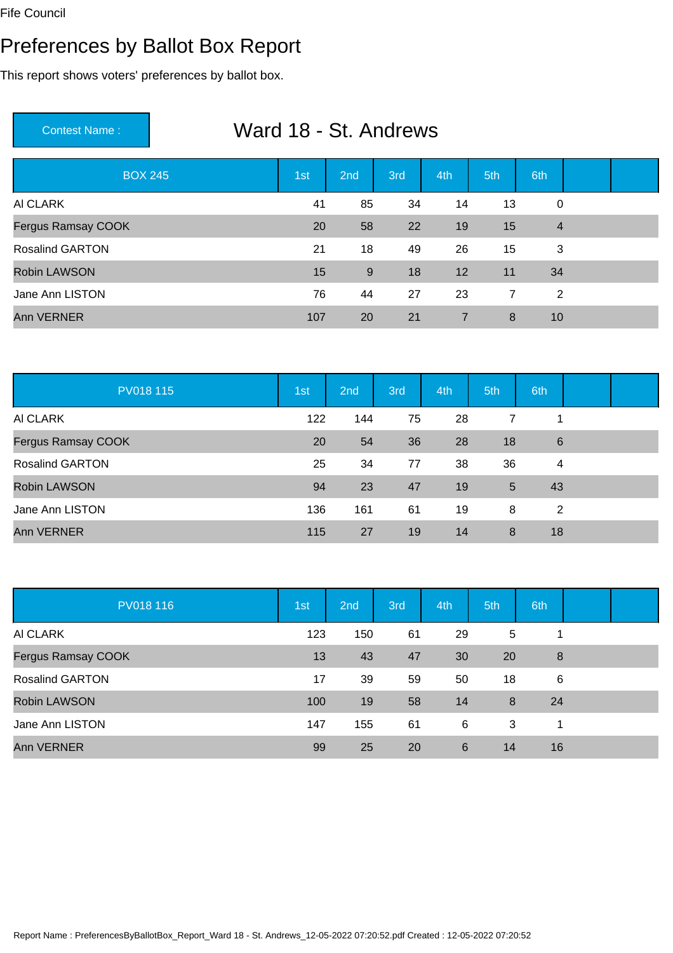# Preferences by Ballot Box Report

| Ward 18 - St. Andrews<br><b>Contest Name:</b> |     |     |     |                |                |                |  |  |  |
|-----------------------------------------------|-----|-----|-----|----------------|----------------|----------------|--|--|--|
| <b>BOX 245</b>                                | 1st | 2nd | 3rd | 4th            | 5th            | 6th            |  |  |  |
| AI CLARK                                      | 41  | 85  | 34  | 14             | 13             | $\mathbf 0$    |  |  |  |
| <b>Fergus Ramsay COOK</b>                     | 20  | 58  | 22  | 19             | 15             | $\overline{4}$ |  |  |  |
| <b>Rosalind GARTON</b>                        | 21  | 18  | 49  | 26             | 15             | 3              |  |  |  |
| <b>Robin LAWSON</b>                           | 15  | 9   | 18  | 12             | 11             | 34             |  |  |  |
| Jane Ann LISTON                               | 76  | 44  | 27  | 23             | $\overline{7}$ | 2              |  |  |  |
| <b>Ann VERNER</b>                             | 107 | 20  | 21  | $\overline{7}$ | 8              | 10             |  |  |  |

| PV018 115              | 1st | 2nd | 3rd | 4th | 5th             | 6th             |  |
|------------------------|-----|-----|-----|-----|-----------------|-----------------|--|
| AI CLARK               | 122 | 144 | 75  | 28  | $\overline{7}$  |                 |  |
| Fergus Ramsay COOK     | 20  | 54  | 36  | 28  | 18              | $6\phantom{1}6$ |  |
| <b>Rosalind GARTON</b> | 25  | 34  | 77  | 38  | 36              | 4               |  |
| <b>Robin LAWSON</b>    | 94  | 23  | 47  | 19  | $5\overline{)}$ | 43              |  |
| Jane Ann LISTON        | 136 | 161 | 61  | 19  | 8               | 2               |  |
| <b>Ann VERNER</b>      | 115 | 27  | 19  | 14  | 8               | 18              |  |

| PV018 116              | 1st | 2nd | 3rd | 4th             | 5th | 6th |  |
|------------------------|-----|-----|-----|-----------------|-----|-----|--|
| AI CLARK               | 123 | 150 | 61  | 29              | 5   |     |  |
| Fergus Ramsay COOK     | 13  | 43  | 47  | 30              | 20  | 8   |  |
| <b>Rosalind GARTON</b> | 17  | 39  | 59  | 50              | 18  | 6   |  |
| <b>Robin LAWSON</b>    | 100 | 19  | 58  | 14              | 8   | 24  |  |
| Jane Ann LISTON        | 147 | 155 | 61  | 6               | 3   | 1   |  |
| Ann VERNER             | 99  | 25  | 20  | $6\phantom{1}6$ | 14  | 16  |  |